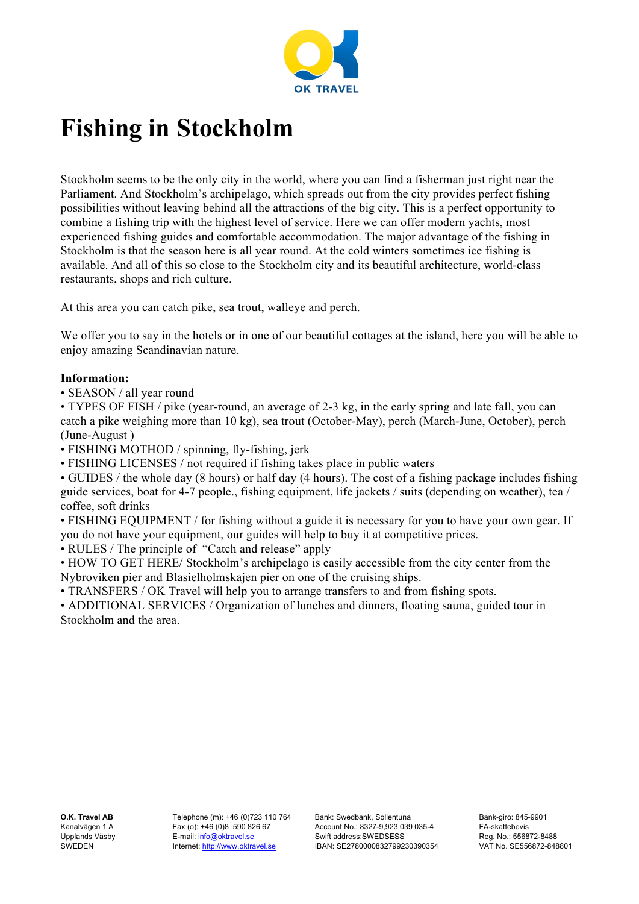

## **Fishing in Stockholm**

Stockholm seems to be the only city in the world, where you can find a fisherman just right near the Parliament. And Stockholm's archipelago, which spreads out from the city provides perfect fishing possibilities without leaving behind all the attractions of the big city. This is a perfect opportunity to combine a fishing trip with the highest level of service. Here we can offer modern yachts, most experienced fishing guides and comfortable accommodation. The major advantage of the fishing in Stockholm is that the season here is all year round. At the cold winters sometimes ice fishing is available. And all of this so close to the Stockholm city and its beautiful architecture, world-class restaurants, shops and rich culture.

At this area you can catch pike, sea trout, walleye and perch.

We offer you to say in the hotels or in one of our beautiful cottages at the island, here you will be able to enjoy amazing Scandinavian nature.

## **Information:**

• SEASON / all year round

• TYPES OF FISH / pike (year-round, an average of 2-3 kg, in the early spring and late fall, you can catch a pike weighing more than 10 kg), sea trout (October-May), perch (March-June, October), perch (June-August )

• FISHING MOTHOD / spinning, fly-fishing, jerk

• FISHING LICENSES / not required if fishing takes place in public waters

• GUIDES / the whole day (8 hours) or half day (4 hours). The cost of a fishing package includes fishing guide services, boat for 4-7 people., fishing equipment, life jackets / suits (depending on weather), tea / coffee, soft drinks

• FISHING EQUIPMENT / for fishing without a guide it is necessary for you to have your own gear. If you do not have your equipment, our guides will help to buy it at competitive prices.

• RULES / The principle of "Catch and release" apply

• HOW TO GET HERE/ Stockholm's archipelago is easily accessible from the city center from the Nybroviken pier and Blasielholmskajen pier on one of the cruising ships.

• TRANSFERS / OK Travel will help you to arrange transfers to and from fishing spots.

• ADDITIONAL SERVICES / Organization of lunches and dinners, floating sauna, guided tour in Stockholm and the area.

**O.K. Travel AB** Kanalvägen 1 A Upplands Väsby SWEDEN

Telephone (m): +46 (0)723 110 764 Fax (o): +46 (0)8 590 826 67 E-mail: info@oktravel.se Internet: http://www.oktravel.se

Bank: Swedbank, Sollentuna Account No.: 8327-9,923 039 035-4 Swift address:SWEDSESS IBAN: SE2780000832799230390354 Bank-giro: 845-9901 FA-skattebevis Reg. No.: 556872-8488 VAT No. SE556872-848801